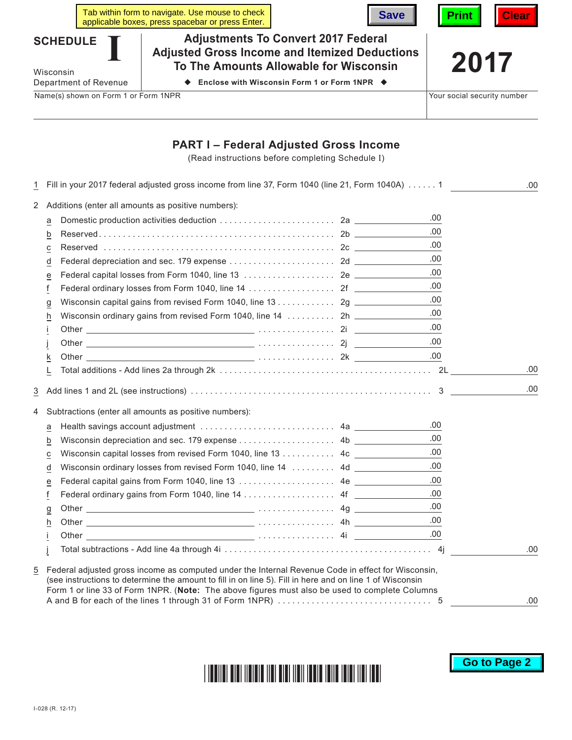|                                      |                       | Tab within form to navigate. Use mouse to check<br>applicable boxes, press spacebar or press Enter.                                          | <b>Save</b>                                                | <b>Clear</b><br><b>Print</b> |  |
|--------------------------------------|-----------------------|----------------------------------------------------------------------------------------------------------------------------------------------|------------------------------------------------------------|------------------------------|--|
| <b>SCHEDULE</b><br>Wisconsin         |                       | <b>Adjustments To Convert 2017 Federal</b><br><b>Adjusted Gross Income and Itemized Deductions</b><br>To The Amounts Allowable for Wisconsin |                                                            | 2017                         |  |
|                                      | Department of Revenue |                                                                                                                                              | Enclose with Wisconsin Form 1 or Form 1NPR $\blacklozenge$ |                              |  |
| Name(s) shown on Form 1 or Form 1NPR |                       |                                                                                                                                              | Your social security number                                |                              |  |

## **PART I – Federal Adjusted Gross Income**

(Read instructions before completing Schedule I)

| 1                   |                | Fill in your 2017 federal adjusted gross income from line 37, Form 1040 (line 21, Form 1040A) 1                                                                                                                                                                                                                  |      | .00 |
|---------------------|----------------|------------------------------------------------------------------------------------------------------------------------------------------------------------------------------------------------------------------------------------------------------------------------------------------------------------------|------|-----|
|                     |                | 2 Additions (enter all amounts as positive numbers):                                                                                                                                                                                                                                                             |      |     |
|                     | а              |                                                                                                                                                                                                                                                                                                                  | .00  |     |
|                     | b              |                                                                                                                                                                                                                                                                                                                  | .00  |     |
|                     | С              |                                                                                                                                                                                                                                                                                                                  | .00  |     |
|                     | d              |                                                                                                                                                                                                                                                                                                                  | .00  |     |
|                     | e              |                                                                                                                                                                                                                                                                                                                  | .00  |     |
|                     | f              |                                                                                                                                                                                                                                                                                                                  | .00  |     |
|                     | $\overline{a}$ |                                                                                                                                                                                                                                                                                                                  | .00  |     |
|                     | h              |                                                                                                                                                                                                                                                                                                                  | .00  |     |
|                     |                |                                                                                                                                                                                                                                                                                                                  | .00  |     |
|                     |                |                                                                                                                                                                                                                                                                                                                  | .00. |     |
|                     | k              |                                                                                                                                                                                                                                                                                                                  | .00  |     |
|                     | L              |                                                                                                                                                                                                                                                                                                                  |      | .00 |
| $\overline{3}$<br>4 |                | Subtractions (enter all amounts as positive numbers):                                                                                                                                                                                                                                                            |      | .00 |
|                     | а              |                                                                                                                                                                                                                                                                                                                  | .00  |     |
|                     | b              |                                                                                                                                                                                                                                                                                                                  | .00  |     |
|                     | $\overline{c}$ |                                                                                                                                                                                                                                                                                                                  | .00  |     |
|                     | d              | Wisconsin ordinary losses from revised Form 1040, line 14  4d _________                                                                                                                                                                                                                                          | .00  |     |
|                     | e              |                                                                                                                                                                                                                                                                                                                  | .00  |     |
|                     | f              |                                                                                                                                                                                                                                                                                                                  | .00  |     |
|                     | $\overline{a}$ |                                                                                                                                                                                                                                                                                                                  | .00  |     |
|                     | h              |                                                                                                                                                                                                                                                                                                                  | .00  |     |
|                     |                |                                                                                                                                                                                                                                                                                                                  | .00  |     |
|                     |                |                                                                                                                                                                                                                                                                                                                  |      | .00 |
| 5                   |                | Federal adjusted gross income as computed under the Internal Revenue Code in effect for Wisconsin,<br>(see instructions to determine the amount to fill in on line 5). Fill in here and on line 1 of Wisconsin<br>Form 1 or line 33 of Form 1NPR. (Note: The above figures must also be used to complete Columns |      | .00 |